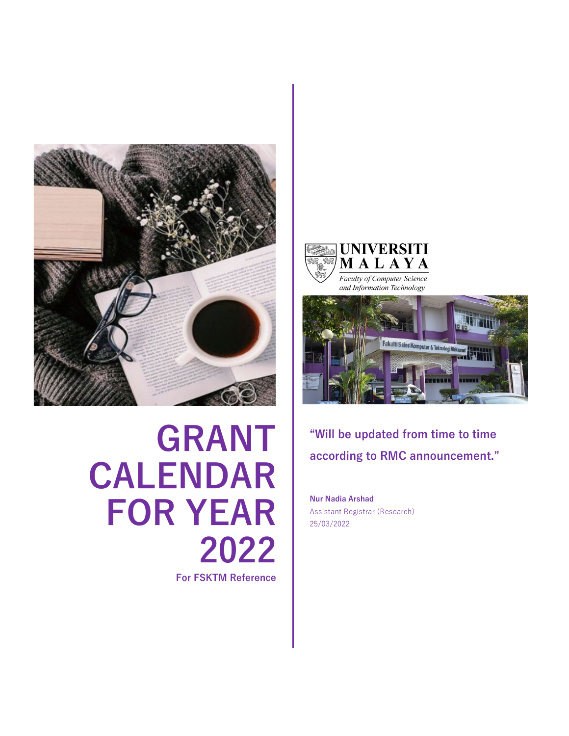

## **GRANT CALENDAR FOR YEAR 2022**

**For FSKTM Reference**





**"Will be updated from time to time according to RMC announcement."**

**Nur Nadia Arshad** Assistant Registrar (Research) 25/03/2022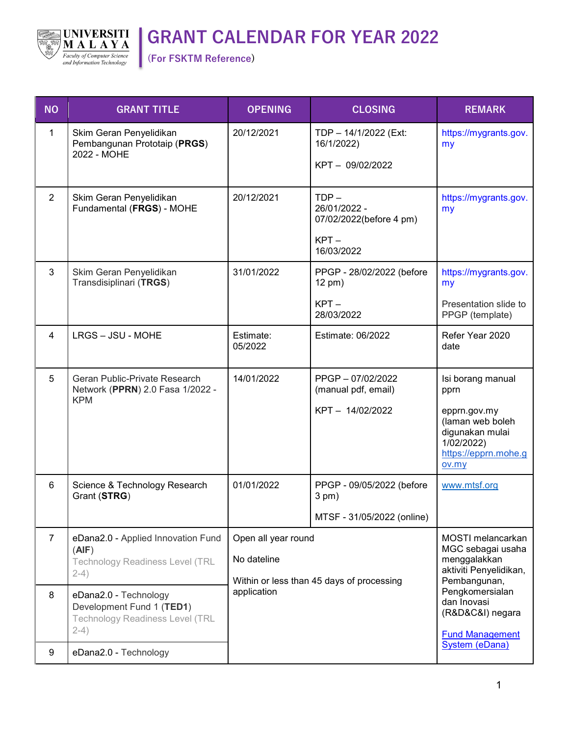

## **GRANT CALENDAR FOR YEAR 2022**

**(For FSKTM Reference)** 

| <b>NO</b>      | <b>GRANT TITLE</b>                                                                                     | <b>OPENING</b>                                                                  | <b>CLOSING</b>                                                              | <b>REMARK</b>                                                                                                                                                                    |
|----------------|--------------------------------------------------------------------------------------------------------|---------------------------------------------------------------------------------|-----------------------------------------------------------------------------|----------------------------------------------------------------------------------------------------------------------------------------------------------------------------------|
| $\mathbf{1}$   | Skim Geran Penyelidikan<br>Pembangunan Prototaip (PRGS)<br>2022 - MOHE                                 | 20/12/2021                                                                      | TDP - 14/1/2022 (Ext:<br>16/1/2022)<br>KPT-09/02/2022                       | https://mygrants.gov.<br>my                                                                                                                                                      |
| $\overline{2}$ | Skim Geran Penyelidikan<br>Fundamental (FRGS) - MOHE                                                   | 20/12/2021                                                                      | $TDP -$<br>26/01/2022 -<br>07/02/2022(before 4 pm)<br>$KPT -$<br>16/03/2022 | https://mygrants.gov.<br>my                                                                                                                                                      |
| 3              | Skim Geran Penyelidikan<br>Transdisiplinari (TRGS)                                                     | 31/01/2022                                                                      | PPGP - 28/02/2022 (before<br>12 pm)<br>$KPT -$<br>28/03/2022                | https://mygrants.gov.<br>my<br>Presentation slide to<br>PPGP (template)                                                                                                          |
| 4              | LRGS - JSU - MOHE                                                                                      | Estimate:<br>05/2022                                                            | Estimate: 06/2022                                                           | Refer Year 2020<br>date                                                                                                                                                          |
| 5              | Geran Public-Private Research<br>Network (PPRN) 2.0 Fasa 1/2022 -<br><b>KPM</b>                        | 14/01/2022                                                                      | PPGP-07/02/2022<br>(manual pdf, email)<br>KPT-14/02/2022                    | Isi borang manual<br>pprn<br>epprn.gov.my<br>(laman web boleh<br>digunakan mulai<br>1/02/2022)<br>https://epprn.mohe.g<br>ov.my                                                  |
| 6              | Science & Technology Research<br>Grant (STRG)                                                          | 01/01/2022                                                                      | PPGP - 09/05/2022 (before<br>$3$ pm $)$<br>MTSF - 31/05/2022 (online)       | www.mtsf.org                                                                                                                                                                     |
| $\overline{7}$ | eDana2.0 - Applied Innovation Fund<br>(AIF)<br><b>Technology Readiness Level (TRL</b><br>$2-4)$        | Open all year round<br>No dateline<br>Within or less than 45 days of processing |                                                                             | MOSTI melancarkan<br>MGC sebagai usaha<br>menggalakkan<br>aktiviti Penyelidikan,<br>Pembangunan,<br>Pengkomersialan<br>dan Inovasi<br>(R&D&C&I) negara<br><b>Fund Management</b> |
| 8              | eDana2.0 - Technology<br>Development Fund 1 (TED1)<br><b>Technology Readiness Level (TRL</b><br>$2-4)$ | application                                                                     |                                                                             |                                                                                                                                                                                  |
| 9              | eDana2.0 - Technology                                                                                  |                                                                                 |                                                                             | <b>System (eDana)</b>                                                                                                                                                            |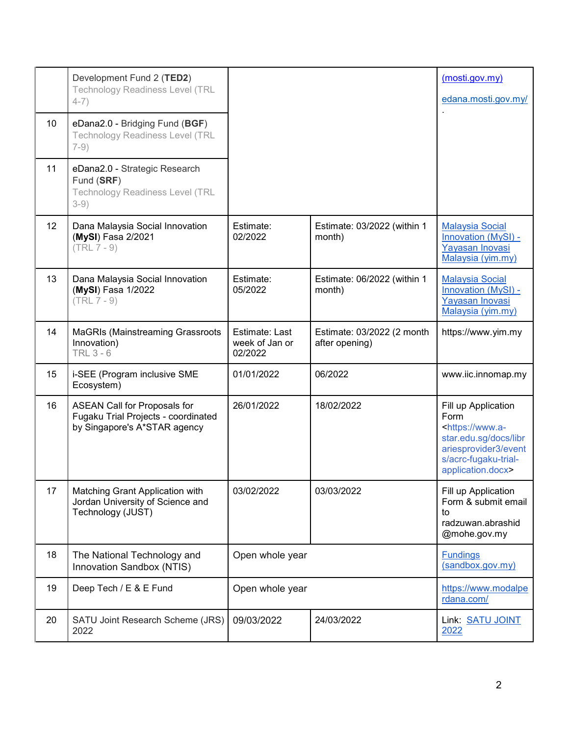|    | Development Fund 2 (TED2)<br><b>Technology Readiness Level (TRL</b><br>$4-7)$                              |                                             |                                              | (mosti.gov.my)<br>edana.mosti.gov.my/                                                                                                                         |
|----|------------------------------------------------------------------------------------------------------------|---------------------------------------------|----------------------------------------------|---------------------------------------------------------------------------------------------------------------------------------------------------------------|
| 10 | eDana2.0 - Bridging Fund (BGF)<br><b>Technology Readiness Level (TRL</b><br>$7-9)$                         |                                             |                                              |                                                                                                                                                               |
| 11 | eDana2.0 - Strategic Research<br>Fund (SRF)<br><b>Technology Readiness Level (TRL</b><br>$3-9)$            |                                             |                                              |                                                                                                                                                               |
| 12 | Dana Malaysia Social Innovation<br>(MySI) Fasa 2/2021<br>$(TRL 7 - 9)$                                     | Estimate:<br>02/2022                        | Estimate: 03/2022 (within 1<br>month)        | <b>Malaysia Social</b><br>Innovation (MySI) -<br>Yayasan Inovasi<br>Malaysia (yim.my)                                                                         |
| 13 | Dana Malaysia Social Innovation<br>(MySI) Fasa 1/2022<br>$(TRL 7 - 9)$                                     | Estimate:<br>05/2022                        | Estimate: 06/2022 (within 1<br>month)        | <b>Malaysia Social</b><br>Innovation (MySI) -<br>Yayasan Inovasi<br>Malaysia (yim.my)                                                                         |
| 14 | <b>MaGRIs (Mainstreaming Grassroots)</b><br>Innovation)<br><b>TRL 3 - 6</b>                                | Estimate: Last<br>week of Jan or<br>02/2022 | Estimate: 03/2022 (2 month<br>after opening) | https://www.yim.my                                                                                                                                            |
| 15 | i-SEE (Program inclusive SME<br>Ecosystem)                                                                 | 01/01/2022                                  | 06/2022                                      | www.iic.innomap.my                                                                                                                                            |
| 16 | <b>ASEAN Call for Proposals for</b><br>Fugaku Trial Projects - coordinated<br>by Singapore's A*STAR agency | 26/01/2022                                  | 18/02/2022                                   | Fill up Application<br>Form<br><https: www.a-<br="">star.edu.sg/docs/libr<br/>ariesprovider3/event<br/>s/acrc-fugaku-trial-<br/>application.docx&gt;</https:> |
| 17 | Matching Grant Application with<br>Jordan University of Science and<br>Technology (JUST)                   | 03/02/2022                                  | 03/03/2022                                   | Fill up Application<br>Form & submit email<br>to<br>radzuwan.abrashid<br>@mohe.gov.my                                                                         |
| 18 | The National Technology and<br>Innovation Sandbox (NTIS)                                                   | Open whole year                             |                                              | <b>Fundings</b><br>(sandbox.gov.my)                                                                                                                           |
| 19 | Deep Tech / E & E Fund                                                                                     | Open whole year                             |                                              | https://www.modalpe<br>rdana.com/                                                                                                                             |
| 20 | SATU Joint Research Scheme (JRS)<br>2022                                                                   | 09/03/2022                                  | 24/03/2022                                   | Link: SATU JOINT<br>2022                                                                                                                                      |